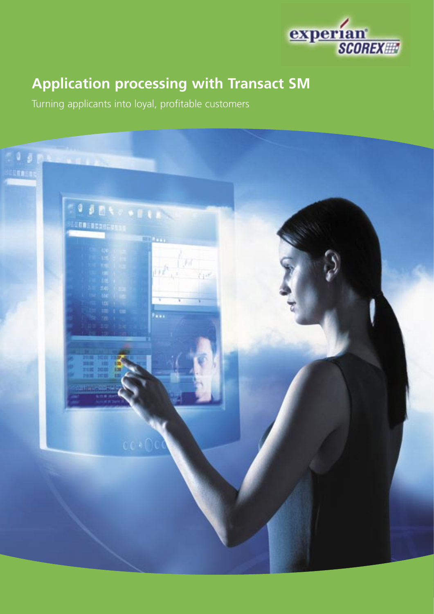

# **Application processing with Transact SM**

Turning applicants into loyal, profitable customers

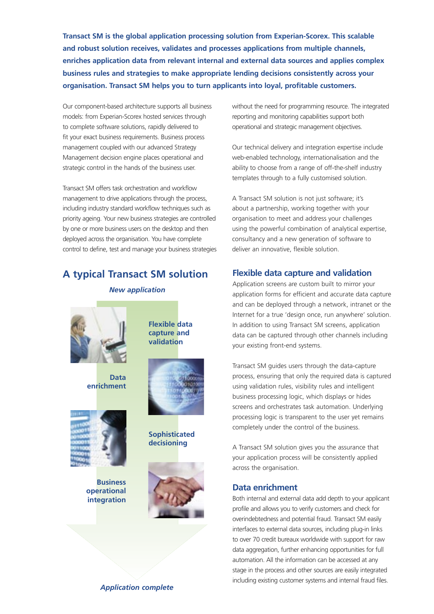**Transact SM is the global application processing solution from Experian-Scorex. This scalable and robust solution receives, validates and processes applications from multiple channels, enriches application data from relevant internal and external data sources and applies complex business rules and strategies to make appropriate lending decisions consistently across your organisation. Transact SM helps you to turn applicants into loyal, profitable customers.**

Our component-based architecture supports all business models: from Experian-Scorex hosted services through to complete software solutions, rapidly delivered to fit your exact business requirements. Business process management coupled with our advanced Strategy Management decision engine places operational and strategic control in the hands of the business user.

Transact SM offers task orchestration and workflow management to drive applications through the process, including industry standard workflow techniques such as priority ageing. Your new business strategies are controlled by one or more business users on the desktop and then deployed across the organisation. You have complete control to define, test and manage your business strategies

## **A typical Transact SM solution**

*New application*



**Data enrichment**



**Business operational integration**



**Flexible data capture and validation**

**Sophisticated decisioning**



without the need for programming resource. The integrated reporting and monitoring capabilities support both operational and strategic management objectives.

Our technical delivery and integration expertise include web-enabled technology, internationalisation and the ability to choose from a range of off-the-shelf industry templates through to a fully customised solution.

A Transact SM solution is not just software; it's about a partnership, working together with your organisation to meet and address your challenges using the powerful combination of analytical expertise, consultancy and a new generation of software to deliver an innovative, flexible solution.

## **Flexible data capture and validation**

Application screens are custom built to mirror your application forms for efficient and accurate data capture and can be deployed through a network, intranet or the Internet for a true 'design once, run anywhere' solution. In addition to using Transact SM screens, application data can be captured through other channels including your existing front-end systems.

Transact SM guides users through the data-capture process, ensuring that only the required data is captured using validation rules, visibility rules and intelligent business processing logic, which displays or hides screens and orchestrates task automation. Underlying processing logic is transparent to the user yet remains completely under the control of the business.

A Transact SM solution gives you the assurance that your application process will be consistently applied across the organisation.

### **Data enrichment**

Both internal and external data add depth to your applicant profile and allows you to verify customers and check for overindebtedness and potential fraud. Transact SM easily interfaces to external data sources, including plug-in links to over 70 credit bureaux worldwide with support for raw data aggregation, further enhancing opportunities for full automation. All the information can be accessed at any stage in the process and other sources are easily integrated including existing customer systems and internal fraud files.

#### *Application complete*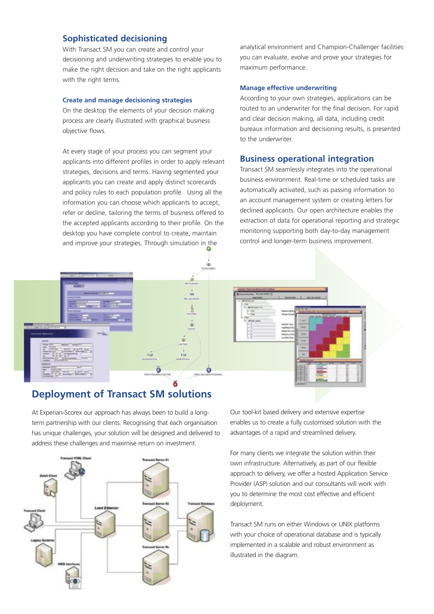#### **Sophisticated decisioning**

With Transact SM you can create and control your decisioning and underwriting strategies to enable you to make the right decision and take on the right applicants with the right terms.

#### **Create and manage decisioning strategies**

On the desktop the elements of your decision making process are clearly illustrated with graphical business objective flows.

At every stage of your process you can segment your applicants into different profiles in order to apply relevant strategies, decisions and terms. Having segmented your applicants you can create and apply distinct scorecards and policy rules to each population profile. Using all the information you can choose which applicants to accept, refer or decline, tailoring the terms of business offered to the accepted applicants according to their profile. On the desktop you have complete control to create, maintain and improve your strategies. Through simulation in the

 $\blacksquare$ кű ŏ Ö

## **Deployment of Transact SM solutions**

At Experian-Scorex our approach has always been to build a longterm partnership with our clients. Recognising that each organisation has unique challenges, your solution will be designed and delivered to address these challenges and maximise return on investment.



analytical environment and Champion-Challenger facilities you can evaluate, evolve and prove your strategies for maximum performance.

#### **Manage effective underwriting**

According to your own strategies, applications can be routed to an underwriter for the final decision. For rapid and clear decision making, all data, including credit bureaux information and decisioning results, is presented to the underwriter.

#### **Business operational integration**

Transact SM seamlessly integrates into the operational business environment. Real-time or scheduled tasks are automatically activated, such as passing information to an account management system or creating letters for declined applicants. Our open architecture enables the extraction of data for operational reporting and strategic monitoring supporting both day-to-day management control and longer-term business improvement.



Our tool-kit based delivery and extensive expertise enables us to create a fully customised solution with the advantages of a rapid and streamlined delivery.

For many clients we integrate the solution within their own infrastructure. Alternatively, as part of our flexible approach to delivery, we offer a hosted Application Service Provider (ASP) solution and our consultants will work with you to determine the most cost effective and efficient deployment.

Transact SM runs on either Windows or UNIX platforms with your choice of operational database and is typically implemented in a scalable and robust environment as illustrated in the diagram.